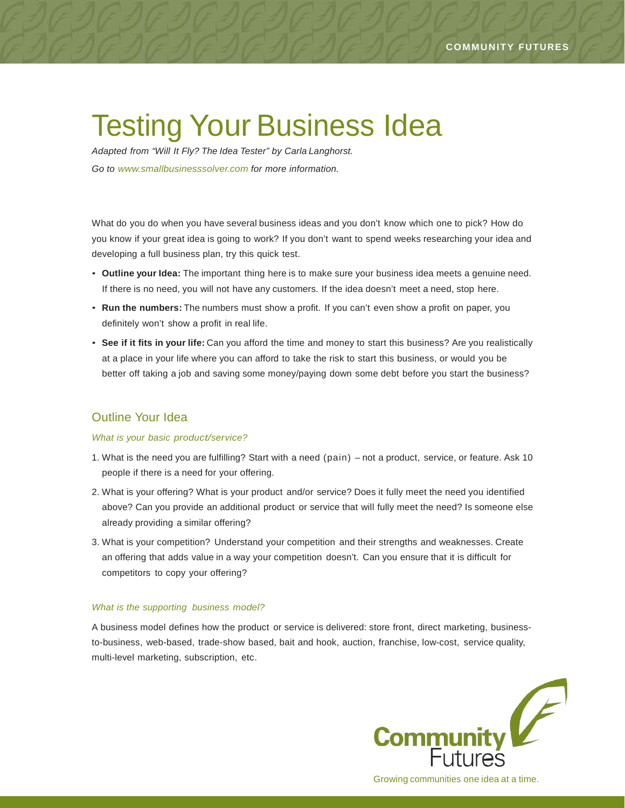# Testing Your Business Idea

*Adapted from "Will It Fly? The Idea Tester" by Carla Langhorst. Go to [www.smallbusinesssolver.com](http://www.smallbusinesssolver.com/) for more information.*

What do you do when you have several business ideas and you don't know which one to pick? How do you know if your great idea is going to work? If you don't want to spend weeks researching your idea and developing a full business plan, try this quick test.

- **Outline your Idea:** The important thing here is to make sure your business idea meets a genuine need. If there is no need, you will not have any customers. If the idea doesn't meet a need, stop here.
- **Run the numbers:** The numbers must show a profit. If you can't even show a profit on paper, you definitely won't show a profit in real life.
- **See if it fits in your life:** Can you afford the time and money to start this business? Are you realistically at a place in your life where you can afford to take the risk to start this business, or would you be better off taking a job and saving some money/paying down some debt before you start the business?

## Outline Your Idea

#### *What is your basic product/service?*

- 1. What is the need you are fulfilling? Start with a need (pain) not a product, service, or feature. Ask 10 people if there is a need for your offering.
- 2. What is your offering? What is your product and/or service? Does it fully meet the need you identified above? Can you provide an additional product or service that will fully meet the need? Is someone else already providing a similar offering?
- 3. What is your competition? Understand your competition and their strengths and weaknesses. Create an offering that adds value in a way your competition doesn't. Can you ensure that it is difficult for competitors to copy your offering?

#### *What is the supporting business model?*

A business model defines how the product or service is delivered: store front, direct marketing, businessto-business, web-based, trade-show based, bait and hook, auction, franchise, low-cost, service quality, multi-level marketing, subscription, etc.

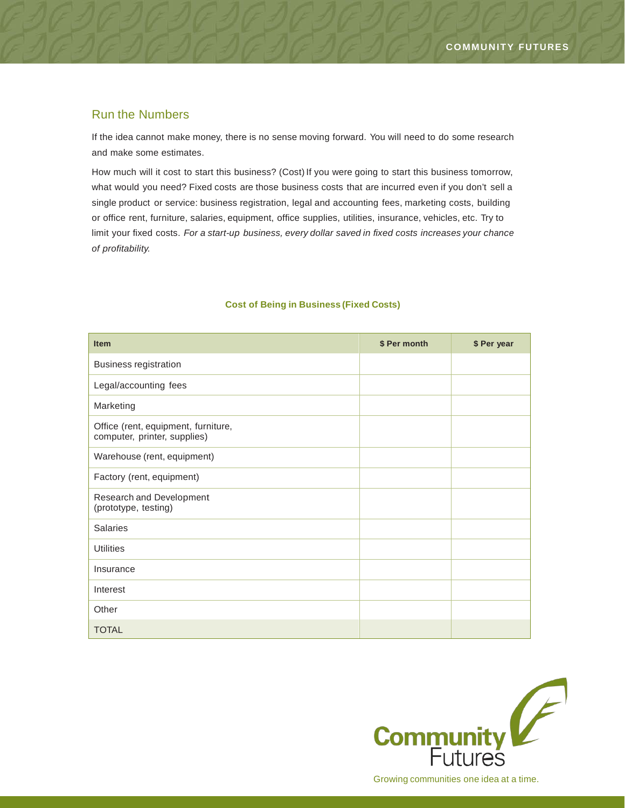## Run the Numbers

If the idea cannot make money, there is no sense moving forward. You will need to do some research and make some estimates.

How much will it cost to start this business? (Cost) If you were going to start this business tomorrow, what would you need? Fixed costs are those business costs that are incurred even if you don't sell a single product or service: business registration, legal and accounting fees, marketing costs, building or office rent, furniture, salaries, equipment, office supplies, utilities, insurance, vehicles, etc. Try to limit your fixed costs. *For a start-up business, every dollar saved in fixed costs increases your chance of profitability.*

| <b>Item</b>                                                         | \$ Per month | \$ Per year |
|---------------------------------------------------------------------|--------------|-------------|
| <b>Business registration</b>                                        |              |             |
| Legal/accounting fees                                               |              |             |
| Marketing                                                           |              |             |
| Office (rent, equipment, furniture,<br>computer, printer, supplies) |              |             |
| Warehouse (rent, equipment)                                         |              |             |
| Factory (rent, equipment)                                           |              |             |
| Research and Development<br>(prototype, testing)                    |              |             |
| <b>Salaries</b>                                                     |              |             |
| <b>Utilities</b>                                                    |              |             |
| Insurance                                                           |              |             |
| Interest                                                            |              |             |
| Other                                                               |              |             |
| <b>TOTAL</b>                                                        |              |             |

### **Cost of Being in Business (Fixed Costs)**

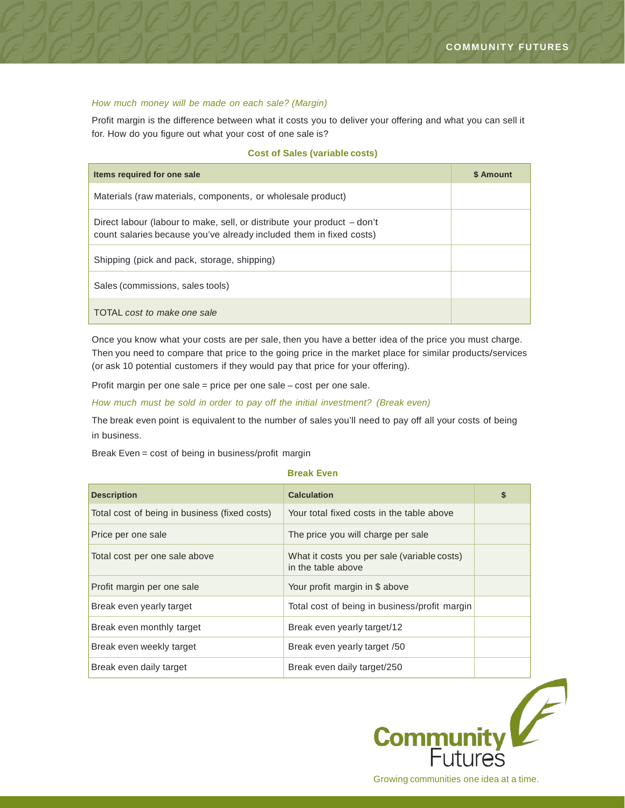#### *How much money will be made on each sale? (Margin)*

Profit margin is the difference between what it costs you to deliver your offering and what you can sell it for. How do you figure out what your cost of one sale is?

#### **Cost of Sales (variable costs)**

| Items required for one sale                                                                                                                    | \$ Amount |
|------------------------------------------------------------------------------------------------------------------------------------------------|-----------|
| Materials (raw materials, components, or wholesale product)                                                                                    |           |
| Direct labour (labour to make, sell, or distribute your product – don't<br>count salaries because you've already included them in fixed costs) |           |
| Shipping (pick and pack, storage, shipping)                                                                                                    |           |
| Sales (commissions, sales tools)                                                                                                               |           |
| TOTAL cost to make one sale                                                                                                                    |           |

Once you know what your costs are per sale, then you have a better idea of the price you must charge. Then you need to compare that price to the going price in the market place for similar products/services (or ask 10 potential customers if they would pay that price for your offering).

Profit margin per one sale = price per one sale – cost per one sale.

*How much must be sold in order to pay off the initial investment? (Break even)*

The break even point is equivalent to the number of sales you'll need to pay off all your costs of being in business.

Break Even = cost of being in business/profit margin

#### **Break Even**

| <b>Description</b>                            | <b>Calculation</b>                                                | \$ |
|-----------------------------------------------|-------------------------------------------------------------------|----|
| Total cost of being in business (fixed costs) | Your total fixed costs in the table above                         |    |
| Price per one sale                            | The price you will charge per sale                                |    |
| Total cost per one sale above                 | What it costs you per sale (variable costs)<br>in the table above |    |
| Profit margin per one sale                    | Your profit margin in \$ above                                    |    |
| Break even yearly target                      | Total cost of being in business/profit margin                     |    |
| Break even monthly target                     | Break even yearly target/12                                       |    |
| Break even weekly target                      | Break even yearly target /50                                      |    |
| Break even daily target                       | Break even daily target/250                                       |    |